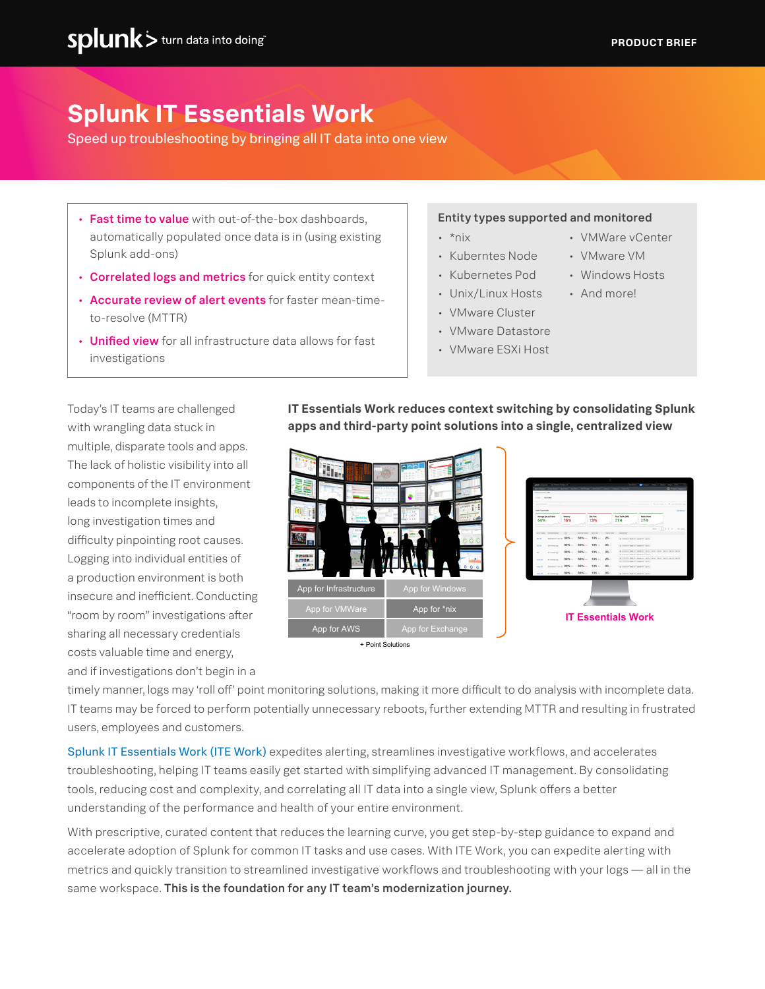• VMWare vCenter • VMware VM • Windows Hosts • And more!

# **Splunk IT Essentials Work**

Speed up troubleshooting by bringing all IT data into one view

- Fast time to value with out-of-the-box dashboards. automatically populated once data is in (using existing Splunk add-ons)
- Correlated logs and metrics for quick entity context
- Accurate review of alert events for faster mean-timeto-resolve (MTTR)
- Unified view for all infrastructure data allows for fast investigations

#### Entity types supported and monitored

- $\cdot$  \*nix
- Kuberntes Node
- Kubernetes Pod
- Unix/Linux Hosts
- VMware Cluster
- VMware Datastore
- VMware ESXi Host

Today's IT teams are challenged with wrangling data stuck in multiple, disparate tools and apps. The lack of holistic visibility into all components of the IT environment leads to incomplete insights, long investigation times and difficulty pinpointing root causes. Logging into individual entities of a production environment is both insecure and inefficient. Conducting "room by room" investigations after sharing all necessary credentials costs valuable time and energy, and if investigations don't begin in a

**IT Essentials Work reduces context switching by consolidating Splunk apps and third-party point solutions into a single, centralized view**



timely manner, logs may 'roll off' point monitoring solutions, making it more difficult to do analysis with incomplete data. IT teams may be forced to perform potentially unnecessary reboots, further extending MTTR and resulting in frustrated users, employees and customers.

[Splunk IT Essentials Work \(ITE Work\)](https://splunkbase.splunk.com/app/5403/) expedites alerting, streamlines investigative workflows, and accelerates troubleshooting, helping IT teams easily get started with simplifying advanced IT management. By consolidating tools, reducing cost and complexity, and correlating all IT data into a single view, Splunk offers a better understanding of the performance and health of your entire environment.

With prescriptive, curated content that reduces the learning curve, you get step-by-step guidance to expand and accelerate adoption of Splunk for common IT tasks and use cases. With ITE Work, you can expedite alerting with metrics and quickly transition to streamlined investigative workflows and troubleshooting with your logs — all in the same workspace. This is the foundation for any IT team's modernization journey.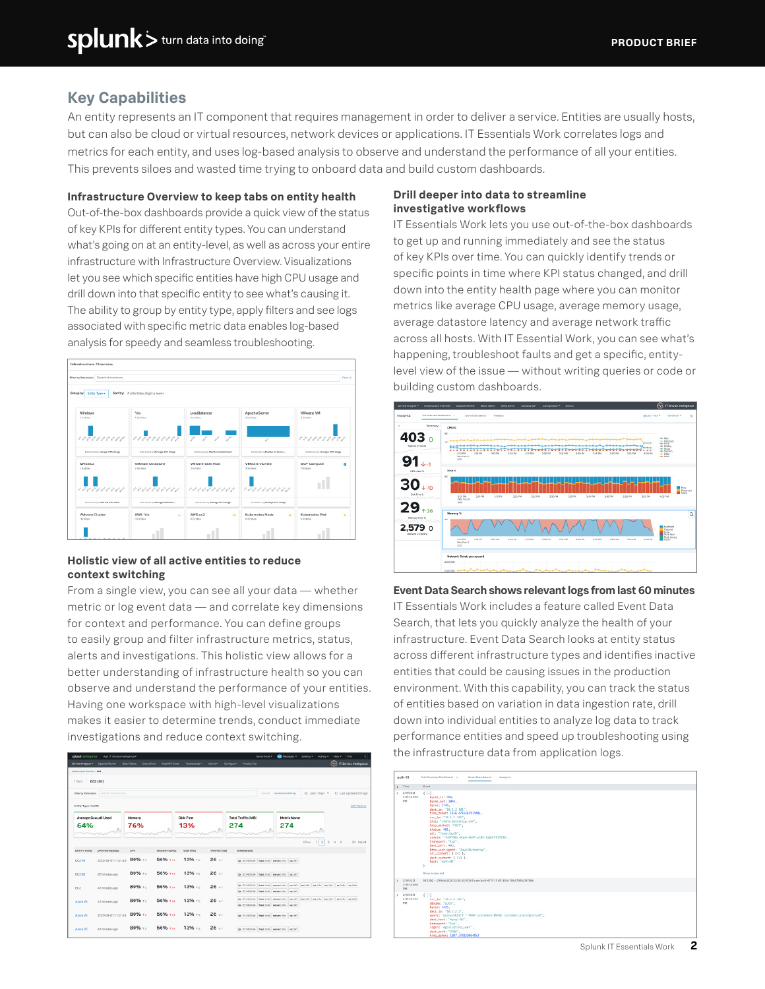## **Key Capabilities**

An entity represents an IT component that requires management in order to deliver a service. Entities are usually hosts, but can also be cloud or virtual resources, network devices or applications. IT Essentials Work correlates logs and metrics for each entity, and uses log-based analysis to observe and understand the performance of all your entities. This prevents siloes and wasted time trying to onboard data and build custom dashboards.

#### **Infrastructure Overview to keep tabs on entity health**

Out-of-the-box dashboards provide a quick view of the status of key KPIs for different entity types. You can understand what's going on at an entity-level, as well as across your entire infrastructure with Infrastructure Overview. Visualizations let you see which specific entities have high CPU usage and drill down into that specific entity to see what's causing it. The ability to group by entity type, apply filters and see logs associated with specific metric data enables log-based analysis for speedy and seamless troubleshooting.



#### **Holistic view of all active entities to reduce context switching**

From a single view, you can see all your data — whether metric or log event data — and correlate key dimensions for context and performance. You can define groups to easily group and filter infrastructure metrics, status, alerts and investigations. This holistic view allows for a better understanding of infrastructure health so you can observe and understand the performance of your entities. Having one workspace with high-level visualizations makes it easier to determine trends, conduct immediate investigations and reduce context switching.

| Mastruther Purchas 1994     |                                          |               |                     |                         |                            |                                                                                     |                                            |                                        |                    |  |  |                 |                                       |
|-----------------------------|------------------------------------------|---------------|---------------------|-------------------------|----------------------------|-------------------------------------------------------------------------------------|--------------------------------------------|----------------------------------------|--------------------|--|--|-----------------|---------------------------------------|
|                             |                                          |               |                     |                         |                            |                                                                                     |                                            |                                        |                    |  |  |                 |                                       |
| C Barit                     | EC2 (BO)                                 |               |                     |                         |                            |                                                                                     |                                            |                                        |                    |  |  |                 |                                       |
|                             | Filter by Broomston   Colorch dimensions |               |                     |                         |                            |                                                                                     |                                            | <b>Slice of Cost Advenued Educação</b> |                    |  |  |                 | O Lest 7 days + O Lest updated Sm app |
| <b>Bridly Type Health</b>   |                                          |               |                     |                         |                            |                                                                                     |                                            |                                        |                    |  |  |                 | <b>EGILIZIONIS</b>                    |
| Average Couutil Used<br>64% |                                          | Memory<br>76% |                     | <b>Disk Free</b><br>13% |                            | Total Traffic (MB)<br>274                                                           |                                            |                                        | Metric Name<br>274 |  |  |                 |                                       |
|                             |                                          |               |                     |                         |                            |                                                                                     |                                            |                                        |                    |  |  |                 |                                       |
|                             |                                          |               |                     |                         |                            |                                                                                     |                                            |                                        |                    |  |  |                 |                                       |
|                             |                                          |               |                     |                         |                            |                                                                                     |                                            |                                        |                    |  |  | 4Prev 1 2 3 4 5 | 30 Nov12                              |
| ENTITY NAME                 | EMPA INCREDIBILITY                       | <b>CORA</b>   | <b>MEMORY USAGE</b> | carter execut           | <b><i>TRAFFECTARES</i></b> | <b>INVESTIGATION</b>                                                                |                                            |                                        |                    |  |  |                 |                                       |
| 002.49                      | 2020-08-07 11:01:33                      | $80%$ +       | 56% ***             | 13%                     | 26:                        | to 12,100,000 heat who served the legisla-                                          |                                            |                                        |                    |  |  |                 |                                       |
| EC2 50                      | 20 minutes ago                           | $80% + 1$     | 56%                 | $13%$ +                 | 26:                        | lactic vicose   heating   servecinto   escato                                       |                                            |                                        |                    |  |  |                 |                                       |
|                             |                                          | 80%           | 56%                 | 13%                     | 26                         | la 12.140.034 heating severints exists exists exists exists exists exists           |                                            |                                        |                    |  |  |                 |                                       |
| <b>EG2</b>                  | 41 nonutes ago                           |               |                     |                         |                            | by 12.140.0.54 heaticle servericin series.                                          |                                            |                                        |                    |  |  |                 |                                       |
| Aissis 2%                   | 41 minutes ago                           | 80%           | 56% ***             | 13%                     | 26:                        | by 12.140.0.54 hand into appearance against against against against against against |                                            |                                        |                    |  |  |                 |                                       |
|                             |                                          |               |                     |                         |                            | by 12.140.034 heat into server into asciety                                         |                                            |                                        |                    |  |  |                 |                                       |
| Azura 25                    | 2020/08/07 11:01:33                      | 80%           | 56%                 | 13%                     | $26 -$                     | in 12,100,000 heet into anyweighty and of a                                         |                                            |                                        |                    |  |  |                 |                                       |
|                             |                                          | 80%           | 56%                 | 13%                     | $26 -$                     |                                                                                     | SK 12.140334 heat into expect the cat arts |                                        |                    |  |  |                 |                                       |

#### **Drill deeper into data to streamline investigative workflows**

IT Essentials Work lets you use out-of-the-box dashboards to get up and running immediately and see the status of key KPIs over time. You can quickly identify trends or specific points in time where KPI status changed, and drill down into the entity health page where you can monitor metrics like average CPU usage, average memory usage, average datastore latency and average network traffic across all hosts. With IT Essential Work, you can see what's happening, troubleshoot faults and get a specific, entitylevel view of the issue — without writing queries or code or building custom dashboards.



## **Event Data Search shows relevant logs from last 60 minutes**

IT Essentials Work includes a feature called Event Data Search, that lets you quickly analyze the health of your infrastructure. Event Data Search looks at entity status across different infrastructure types and identifies inactive entities that could be causing issues in the production environment. With this capability, you can track the status of entities based on variation in data ingestion rate, drill down into individual entities to analyze log data to track performance entities and speed up troubleshooting using the infrastructure data from application logs.